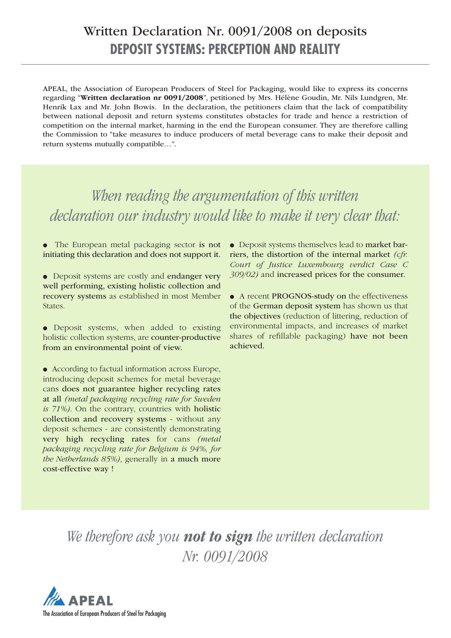# **DEPOSIT SYSTEMS: PERCEPTION AND REALITY** Written Declaration Nr. 0091/2008 on deposits

APEAL, the Association of European Producers of Steel for Packaging, would like to express its concerns regarding "**Written declaration nr 0091/2008**", petitioned by Mrs. Hélène Goudin, Mr. Nils Lundgren, Mr. Henrik Lax and Mr. John Bowis. In the declaration, the petitioners claim that the lack of compatibility between national deposit and return systems constitutes obstacles for trade and hence a restriction of competition on the internal market, harming in the end the European consumer. They are therefore calling the Commission to "take measures to induce producers of metal beverage cans to make their deposit and return systems mutually compatible…".

*When reading the argumentation of this written declaration our industry would like to make it very clear that:*

• The European metal packaging sector is not initiating this declaration and does not support it.

● Deposit systems are costly and endanger very well performing, existing holistic collection and recovery systems as established in most Member States.

● Deposit systems, when added to existing holistic collection systems, are counter-productive from an environmental point of view.

● According to factual information across Europe, introducing deposit schemes for metal beverage cans does not guarantee higher recycling rates at all *(metal packaging recycling rate for Sweden is 71%)*. On the contrary, countries with holistic collection and recovery systems - without any deposit schemes - are consistently demonstrating very high recycling rates for cans *(metal packaging recycling rate for Belgium is 94%, for the Netherlands 85%)*, generally in a much more cost-effective way !

● Deposit systems themselves lead to market barriers, the distortion of the internal market *(cfr. Court of Justice Luxembourg verdict Case C 309/02)* and increased prices for the consumer.

● A recent PROGNOS-study on the effectiveness of the German deposit system has shown us that the objectives (reduction of littering, reduction of environmental impacts, and increases of market shares of refillable packaging) have not been achieved.

*We therefore ask you not to sign the written declaration Nr. 0091/2008* 

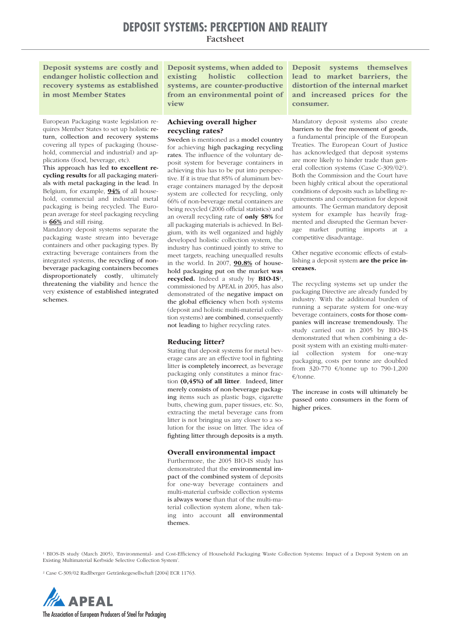**Deposit systems are costly and endanger holistic collection and recovery systems as established in most Member States**

**Deposit systems, when added to existing holistic collection systems, are counter-productive from an environmental point of view**

European Packaging waste legislation requires Member States to set up holistic return, collection and recovery systems covering all types of packaging (household, commercial and industrial) and applications (food, beverage, etc).

This approach has led **to excellent recycling results** for all packaging materials with metal packaging in the lead. In Belgium, for example, **94%** of all household, commercial and industrial metal packaging is being recycled. The European average for steel packaging recycling is **66%** and still rising.

Mandatory deposit systems separate the packaging waste stream into beverage containers and other packaging types. By extracting beverage containers from the integrated systems, the recycling of nonbeverage packaging containers becomes disproportionately costly, ultimately threatening the viability and hence the very existence of established integrated schemes.

## **Achieving overall higher recycling rates?**

Sweden is mentioned as a model country for achieving high packaging recycling rates. The influence of the voluntary deposit system for beverage containers in achieving this has to be put into perspective. If it is true that 85% of aluminum beverage containers managed by the deposit system are collected for recycling, only 66% of non-beverage metal containers are being recycled (2006 official statistics) and an overall recycling rate of **only 58%** for all packaging materials is achieved. In Belgium, with its well organized and highly developed holistic collection system, the industry has continued jointly to strive to meet targets, reaching unequalled results in the world. In 2007, **90.8%** of household packaging put on the market **was recycled.** Indeed a study by **BIO-IS**1, commissioned by APEAL in 2005, has also demonstrated of the negative impact on the global efficiency when both systems (deposit and holistic multi-material collection systems) are combined, consequently not leading to higher recycling rates.

#### **Reducing litter?**

Stating that deposit systems for metal beverage cans are an effective tool in fighting litter is completely incorrect, as beverage packaging only constitutes a minor fraction **(0,45%) of all litter**. Indeed, litter merely consists of non-beverage packaging items such as plastic bags, cigarette butts, chewing gum, paper tissues, etc. So, extracting the metal beverage cans from litter is not bringing us any closer to a solution for the issue on litter. The idea of fighting litter through deposits is a myth.

#### **Overall environmental impact**

Furthermore, the 2005 BIO-IS study has demonstrated that the environmental impact of the combined system of deposits for one-way beverage containers and multi-material curbside collection systems is always worse than that of the multi-material collection system alone, when taking into account all environmental themes.

**Deposit systems themselves lead to market barriers, the distortion of the internal market and increased prices for the consumer.**

Mandatory deposit systems also create barriers to the free movement of goods, a fundamental principle of the European Treaties. The European Court of Justice has acknowledged that deposit systems are more likely to hinder trade than general collection systems (Case C-309/022). Both the Commission and the Court have been highly critical about the operational conditions of deposits such as labelling requirements and compensation for deposit amounts. The German mandatory deposit system for example has heavily fragmented and disrupted the German beverage market putting imports at a competitive disadvantage.

Other negative economic effects of establishing a deposit system **are the price increases.** 

The recycling systems set up under the packaging Directive are already funded by industry. With the additional burden of running a separate system for one-way beverage containers, costs for those companies will increase tremendously. The study carried out in 2005 by BIO-IS demonstrated that when combining a deposit system with an existing multi-material collection system for one-way packaging, costs per tonne are doubled from 320-770 €/tonne up to 790-1,200 €/tonne.

The increase in costs will ultimately be passed onto consumers in the form of higher prices.

<sup>1</sup> BIOS-IS study (March 2005), 'Environmental- and Cost-Efficiency of Household Packaging Waste Collection Systems: Impact of a Deposit System on an Existing Multimaterial Kerbside Selective Collection System'.

<sup>2</sup> Case C-309/02 Radlberger Getränkegesellschaft [2004] ECR 11763.

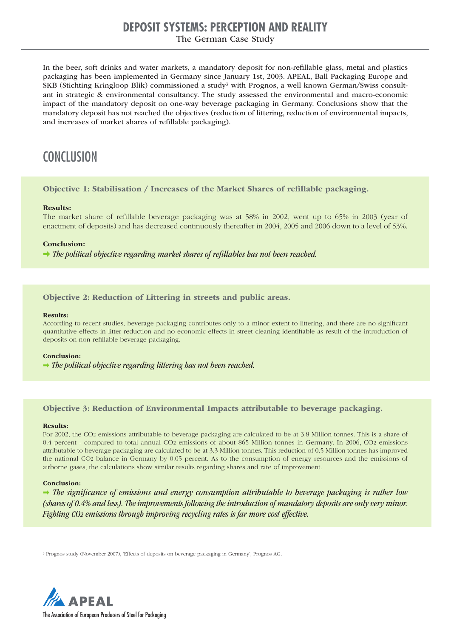## **DEPOSIT SYSTEMS: PERCEPTION AND REALITY**

## The German Case Study

In the beer, soft drinks and water markets, a mandatory deposit for non-refillable glass, metal and plastics packaging has been implemented in Germany since January 1st, 2003. APEAL, Ball Packaging Europe and SKB (Stichting Kringloop Blik) commissioned a study<sup>3</sup> with Prognos, a well known German/Swiss consultant in strategic & environmental consultancy. The study assessed the environmental and macro-economic impact of the mandatory deposit on one-way beverage packaging in Germany. Conclusions show that the mandatory deposit has not reached the objectives (reduction of littering, reduction of environmental impacts, and increases of market shares of refillable packaging).

## **CONCLUSION**

## **Objective 1: Stabilisation / Increases of the Market Shares of refillable packaging.**

#### **Results:**

The market share of refillable beverage packaging was at 58% in 2002, went up to 65% in 2003 (year of enactment of deposits) and has decreased continuously thereafter in 2004, 2005 and 2006 down to a level of 53%.

### **Conclusion:**

 $\rightarrow$  The political objective regarding market shares of refillables has not been reached.

## **Objective 2: Reduction of Littering in streets and public areas.**

#### **Results:**

According to recent studies, beverage packaging contributes only to a minor extent to littering, and there are no significant quantitative effects in litter reduction and no economic effects in street cleaning identifiable as result of the introduction of deposits on non-refillable beverage packaging.

#### **Conclusion:**

 $\rightarrow$  The political objective regarding littering has not been reached.

## **Objective 3: Reduction of Environmental Impacts attributable to beverage packaging.**

#### **Results:**

For 2002, the CO2 emissions attributable to beverage packaging are calculated to be at 3.8 Million tonnes. This is a share of 0.4 percent - compared to total annual CO2 emissions of about 865 Million tonnes in Germany. In 2006, CO2 emissions attributable to beverage packaging are calculated to be at 3.3 Million tonnes. This reduction of 0.5 Million tonnes has improved the national CO2 balance in Germany by 0.05 percent. As to the consumption of energy resources and the emissions of airborne gases, the calculations show similar results regarding shares and rate of improvement.

### **Conclusion:**

 $\rightarrow$  The significance of emissions and energy consumption attributable to beverage packaging is rather low (shares of 0.4% and less). The improvements following the introduction of mandatory deposits are only very minor. Fighting CO2 emissions through improving recycling rates is far more cost effective.

<sup>3</sup> Prognos study (November 2007), 'Effects of deposits on beverage packaging in Germany', Prognos AG.